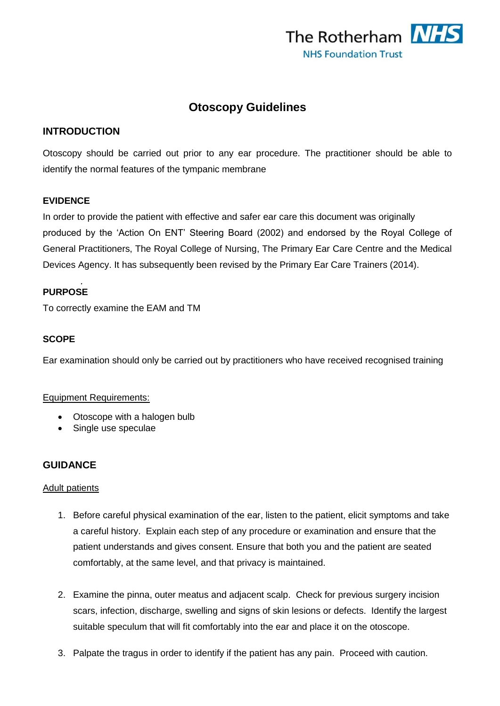

# **Otoscopy Guidelines**

## **INTRODUCTION**

Otoscopy should be carried out prior to any ear procedure. The practitioner should be able to identify the normal features of the tympanic membrane

#### **EVIDENCE**

In order to provide the patient with effective and safer ear care this document was originally produced by the 'Action On ENT' Steering Board (2002) and endorsed by the Royal College of General Practitioners, The Royal College of Nursing, The Primary Ear Care Centre and the Medical Devices Agency. It has subsequently been revised by the Primary Ear Care Trainers (2014).

#### *.* **PURPOSE**

To correctly examine the EAM and TM

#### **SCOPE**

Ear examination should only be carried out by practitioners who have received recognised training

#### Equipment Requirements:

- Otoscope with a halogen bulb
- Single use speculae

## **GUIDANCE**

#### Adult patients

- 1. Before careful physical examination of the ear, listen to the patient, elicit symptoms and take a careful history. Explain each step of any procedure or examination and ensure that the patient understands and gives consent. Ensure that both you and the patient are seated comfortably, at the same level, and that privacy is maintained.
- 2. Examine the pinna, outer meatus and adjacent scalp. Check for previous surgery incision scars, infection, discharge, swelling and signs of skin lesions or defects. Identify the largest suitable speculum that will fit comfortably into the ear and place it on the otoscope.
- 3. Palpate the tragus in order to identify if the patient has any pain. Proceed with caution.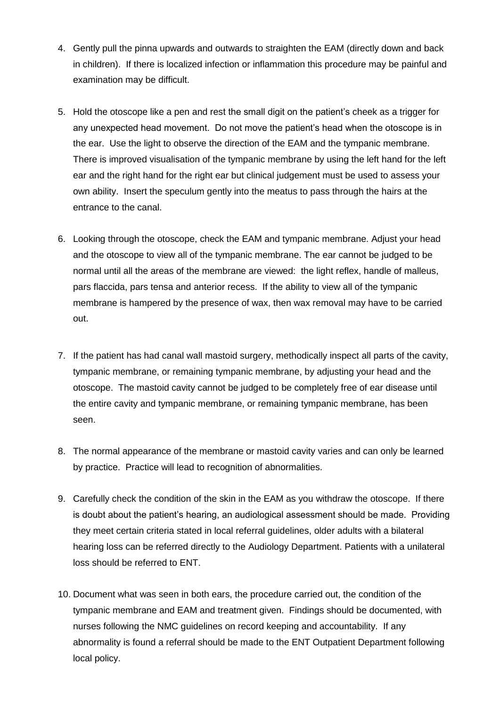- 4. Gently pull the pinna upwards and outwards to straighten the EAM (directly down and back in children). If there is localized infection or inflammation this procedure may be painful and examination may be difficult.
- 5. Hold the otoscope like a pen and rest the small digit on the patient's cheek as a trigger for any unexpected head movement. Do not move the patient's head when the otoscope is in the ear. Use the light to observe the direction of the EAM and the tympanic membrane. There is improved visualisation of the tympanic membrane by using the left hand for the left ear and the right hand for the right ear but clinical judgement must be used to assess your own ability. Insert the speculum gently into the meatus to pass through the hairs at the entrance to the canal.
- 6. Looking through the otoscope, check the EAM and tympanic membrane. Adjust your head and the otoscope to view all of the tympanic membrane. The ear cannot be judged to be normal until all the areas of the membrane are viewed: the light reflex, handle of malleus, pars flaccida, pars tensa and anterior recess. If the ability to view all of the tympanic membrane is hampered by the presence of wax, then wax removal may have to be carried out.
- 7. If the patient has had canal wall mastoid surgery, methodically inspect all parts of the cavity, tympanic membrane, or remaining tympanic membrane, by adjusting your head and the otoscope. The mastoid cavity cannot be judged to be completely free of ear disease until the entire cavity and tympanic membrane, or remaining tympanic membrane, has been seen.
- 8. The normal appearance of the membrane or mastoid cavity varies and can only be learned by practice. Practice will lead to recognition of abnormalities.
- 9. Carefully check the condition of the skin in the EAM as you withdraw the otoscope. If there is doubt about the patient's hearing, an audiological assessment should be made. Providing they meet certain criteria stated in local referral guidelines, older adults with a bilateral hearing loss can be referred directly to the Audiology Department. Patients with a unilateral loss should be referred to ENT.
- 10. Document what was seen in both ears, the procedure carried out, the condition of the tympanic membrane and EAM and treatment given. Findings should be documented, with nurses following the NMC guidelines on record keeping and accountability. If any abnormality is found a referral should be made to the ENT Outpatient Department following local policy.